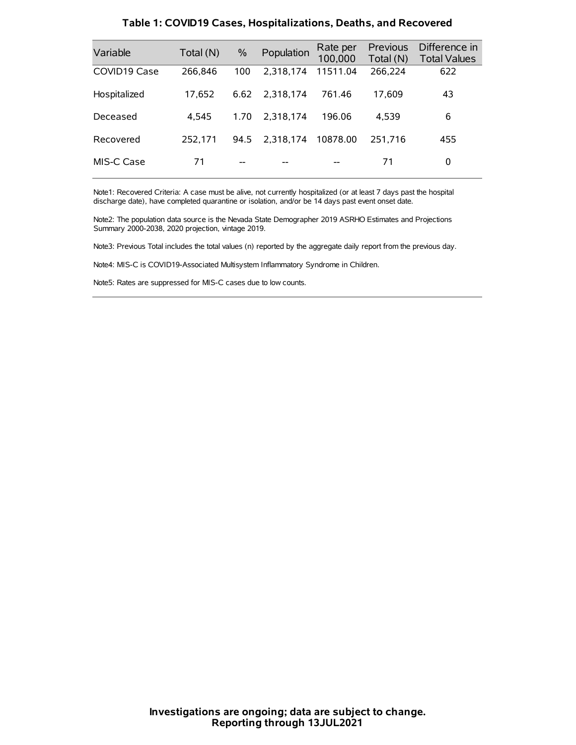| Variable     | Total (N) | $\%$ | Population | Rate per<br>100,000 | Previous<br>Total (N) | Difference in<br><b>Total Values</b> |
|--------------|-----------|------|------------|---------------------|-----------------------|--------------------------------------|
| COVID19 Case | 266,846   | 100  | 2.318.174  | 11511.04            | 266,224               | 622                                  |
| Hospitalized | 17.652    | 6.62 | 2.318.174  | 761.46              | 17.609                | 43                                   |
| Deceased     | 4.545     | 1.70 | 2.318.174  | 196.06              | 4.539                 | 6                                    |
| Recovered    | 252.171   | 94.5 | 2.318.174  | 10878.00            | 251.716               | 455                                  |
| MIS-C Case   | 71        | --   |            |                     | 71                    | 0                                    |

#### **Table 1: COVID19 Cases, Hospitalizations, Deaths, and Recovered**

Note1: Recovered Criteria: A case must be alive, not currently hospitalized (or at least 7 days past the hospital discharge date), have completed quarantine or isolation, and/or be 14 days past event onset date.

Note2: The population data source is the Nevada State Demographer 2019 ASRHO Estimates and Projections Summary 2000-2038, 2020 projection, vintage 2019.

Note3: Previous Total includes the total values (n) reported by the aggregate daily report from the previous day.

Note4: MIS-C is COVID19-Associated Multisystem Inflammatory Syndrome in Children.

Note5: Rates are suppressed for MIS-C cases due to low counts.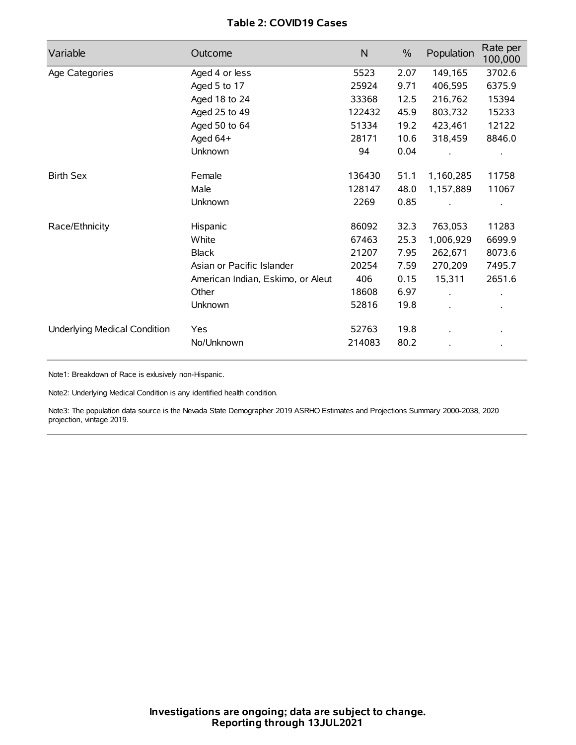## **Table 2: COVID19 Cases**

| Variable                     | Outcome                           | N      | $\%$ | Population | Rate per<br>100,000 |
|------------------------------|-----------------------------------|--------|------|------------|---------------------|
| Age Categories               | Aged 4 or less                    | 5523   | 2.07 | 149,165    | 3702.6              |
|                              | Aged 5 to 17                      | 25924  | 9.71 | 406,595    | 6375.9              |
|                              | Aged 18 to 24                     | 33368  | 12.5 | 216,762    | 15394               |
|                              | Aged 25 to 49                     | 122432 | 45.9 | 803,732    | 15233               |
|                              | Aged 50 to 64                     | 51334  | 19.2 | 423,461    | 12122               |
|                              | Aged 64+                          | 28171  | 10.6 | 318,459    | 8846.0              |
|                              | Unknown                           | 94     | 0.04 |            |                     |
| <b>Birth Sex</b>             | Female                            | 136430 | 51.1 | 1,160,285  | 11758               |
|                              | Male                              | 128147 | 48.0 | 1,157,889  | 11067               |
|                              | Unknown                           | 2269   | 0.85 |            |                     |
| Race/Ethnicity               | Hispanic                          | 86092  | 32.3 | 763,053    | 11283               |
|                              | White                             | 67463  | 25.3 | 1,006,929  | 6699.9              |
|                              | <b>Black</b>                      | 21207  | 7.95 | 262,671    | 8073.6              |
|                              | Asian or Pacific Islander         | 20254  | 7.59 | 270,209    | 7495.7              |
|                              | American Indian, Eskimo, or Aleut | 406    | 0.15 | 15,311     | 2651.6              |
|                              | Other                             | 18608  | 6.97 |            |                     |
|                              | <b>Unknown</b>                    | 52816  | 19.8 |            |                     |
| Underlying Medical Condition | <b>Yes</b>                        | 52763  | 19.8 |            |                     |
|                              | No/Unknown                        | 214083 | 80.2 |            |                     |

Note1: Breakdown of Race is exlusively non-Hispanic.

Note2: Underlying Medical Condition is any identified health condition.

Note3: The population data source is the Nevada State Demographer 2019 ASRHO Estimates and Projections Summary 2000-2038, 2020 projection, vintage 2019.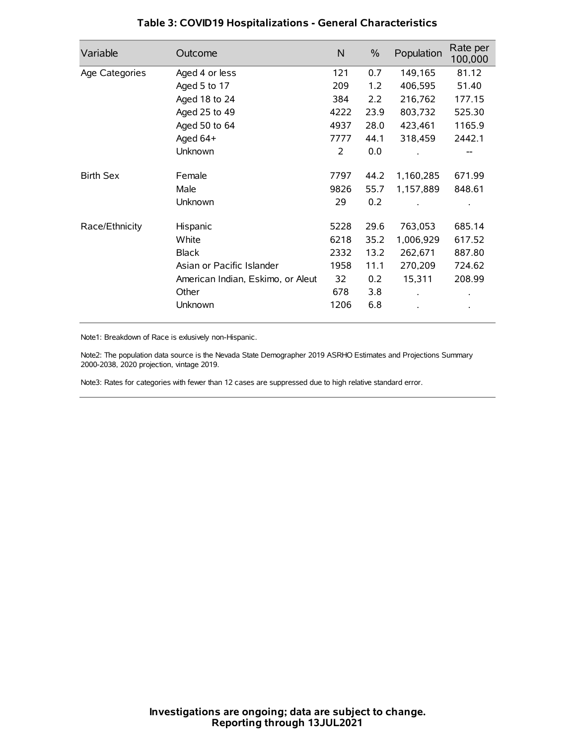| Variable         | Outcome                           | N    | $\%$ | Population | Rate per<br>100,000 |
|------------------|-----------------------------------|------|------|------------|---------------------|
| Age Categories   | Aged 4 or less                    | 121  | 0.7  | 149,165    | 81.12               |
|                  | Aged 5 to 17                      | 209  | 1.2  | 406,595    | 51.40               |
|                  | Aged 18 to 24                     | 384  | 2.2  | 216,762    | 177.15              |
|                  | Aged 25 to 49                     | 4222 | 23.9 | 803,732    | 525.30              |
|                  | Aged 50 to 64                     | 4937 | 28.0 | 423,461    | 1165.9              |
|                  | Aged 64+                          | 7777 | 44.1 | 318,459    | 2442.1              |
|                  | Unknown                           | 2    | 0.0  |            |                     |
| <b>Birth Sex</b> | Female                            | 7797 | 44.2 | 1,160,285  | 671.99              |
|                  | Male                              | 9826 | 55.7 | 1,157,889  | 848.61              |
|                  | Unknown                           | 29   | 0.2  |            |                     |
| Race/Ethnicity   | Hispanic                          | 5228 | 29.6 | 763,053    | 685.14              |
|                  | White                             | 6218 | 35.2 | 1,006,929  | 617.52              |
|                  | <b>Black</b>                      | 2332 | 13.2 | 262,671    | 887.80              |
|                  | Asian or Pacific Islander         | 1958 | 11.1 | 270,209    | 724.62              |
|                  | American Indian, Eskimo, or Aleut | 32   | 0.2  | 15,311     | 208.99              |
|                  | Other                             | 678  | 3.8  |            |                     |
|                  | Unknown                           | 1206 | 6.8  |            |                     |

## **Table 3: COVID19 Hospitalizations - General Characteristics**

Note1: Breakdown of Race is exlusively non-Hispanic.

Note2: The population data source is the Nevada State Demographer 2019 ASRHO Estimates and Projections Summary 2000-2038, 2020 projection, vintage 2019.

Note3: Rates for categories with fewer than 12 cases are suppressed due to high relative standard error.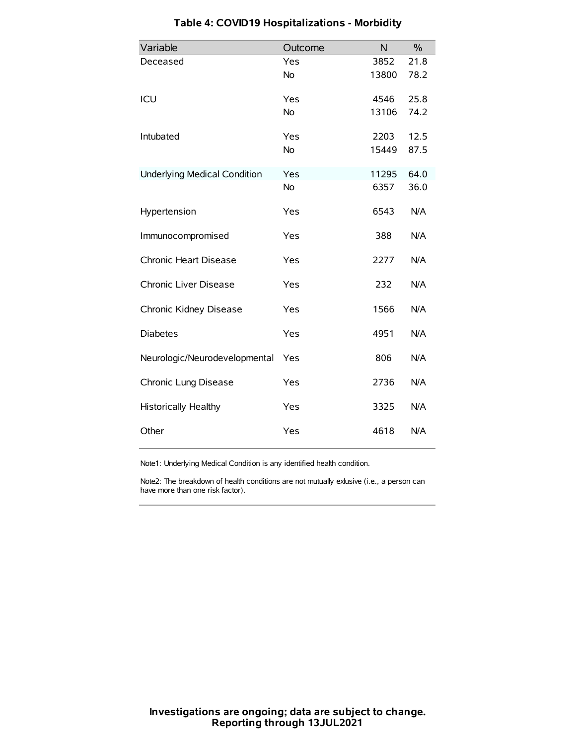| Variable                            | Outcome   | N     | $\%$ |
|-------------------------------------|-----------|-------|------|
| Deceased                            | Yes       | 3852  | 21.8 |
|                                     | No        | 13800 | 78.2 |
| ICU                                 | Yes       | 4546  | 25.8 |
|                                     | <b>No</b> | 13106 | 74.2 |
| Intubated                           | Yes       | 2203  | 12.5 |
|                                     | No        | 15449 | 87.5 |
| <b>Underlying Medical Condition</b> | Yes       | 11295 | 64.0 |
|                                     | <b>No</b> | 6357  | 36.0 |
| Hypertension                        | Yes       | 6543  | N/A  |
| Immunocompromised                   | Yes       | 388   | N/A  |
| Chronic Heart Disease               | Yes       | 2277  | N/A  |
| Chronic Liver Disease               | Yes       | 232   | N/A  |
| Chronic Kidney Disease              | Yes       | 1566  | N/A  |
| <b>Diabetes</b>                     | Yes       | 4951  | N/A  |
| Neurologic/Neurodevelopmental       | Yes       | 806   | N/A  |
| Chronic Lung Disease                | Yes       | 2736  | N/A  |
| <b>Historically Healthy</b>         | Yes       | 3325  | N/A  |
| Other                               | Yes       | 4618  | N/A  |

# **Table 4: COVID19 Hospitalizations - Morbidity**

Note1: Underlying Medical Condition is any identified health condition.

Note2: The breakdown of health conditions are not mutually exlusive (i.e., a person can have more than one risk factor).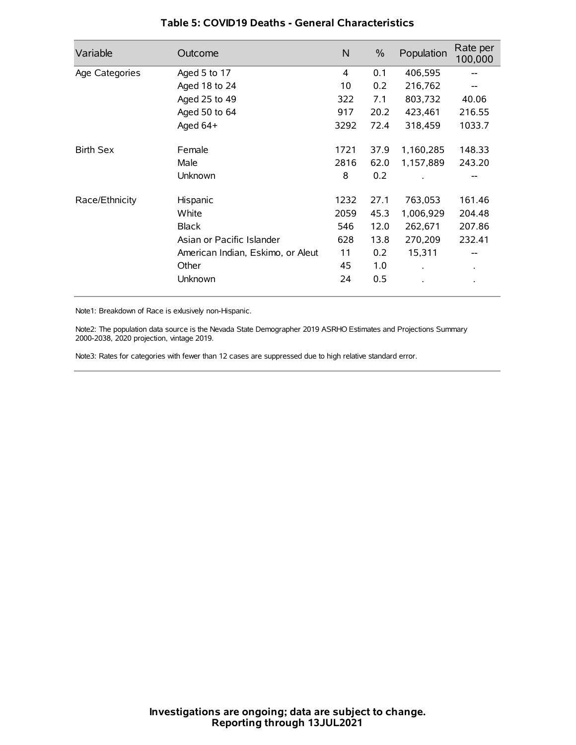| Variable         | Outcome                           | N    | $\%$ | Population           | Rate per<br>100,000 |
|------------------|-----------------------------------|------|------|----------------------|---------------------|
| Age Categories   | Aged 5 to 17                      | 4    | 0.1  | 406,595              |                     |
|                  | Aged 18 to 24                     | 10   | 0.2  | 216,762              |                     |
|                  | Aged 25 to 49                     | 322  | 7.1  | 803,732              | 40.06               |
|                  | Aged 50 to 64                     | 917  | 20.2 | 423,461              | 216.55              |
|                  | Aged 64+                          | 3292 | 72.4 | 318,459              | 1033.7              |
| <b>Birth Sex</b> | Female                            | 1721 | 37.9 | 1,160,285            | 148.33              |
|                  | Male                              | 2816 | 62.0 | 1,157,889            | 243.20              |
|                  | Unknown                           | 8    | 0.2  |                      |                     |
| Race/Ethnicity   | Hispanic                          | 1232 | 27.1 | 763,053              | 161.46              |
|                  | White                             | 2059 | 45.3 | 1,006,929            | 204.48              |
|                  | <b>Black</b>                      | 546  | 12.0 | 262,671              | 207.86              |
|                  | Asian or Pacific Islander         | 628  | 13.8 | 270,209              | 232.41              |
|                  | American Indian, Eskimo, or Aleut | 11   | 0.2  | 15,311               |                     |
|                  | Other                             | 45   | 1.0  | $\ddot{\phantom{0}}$ | $\bullet$           |
|                  | Unknown                           | 24   | 0.5  |                      |                     |

### **Table 5: COVID19 Deaths - General Characteristics**

Note1: Breakdown of Race is exlusively non-Hispanic.

Note2: The population data source is the Nevada State Demographer 2019 ASRHO Estimates and Projections Summary 2000-2038, 2020 projection, vintage 2019.

Note3: Rates for categories with fewer than 12 cases are suppressed due to high relative standard error.